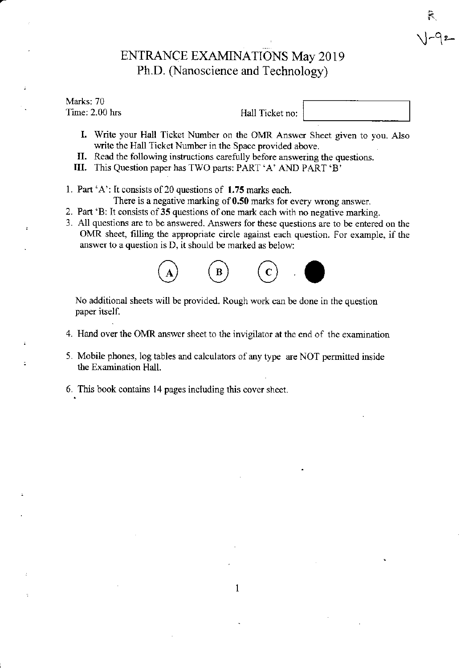## ENTRANCE EXAMINATIONS May 2019 Ph.D. (Nanoscience and Technology)

#### Marks: 70 Time: 2 00 hrs

Hall Ticket no:

 $V - 9$ 2

- I. Write your Hall Ticket Number on the OMR Answer Sheet given to you. Also write the Hall Ticket Number in the Space provided above.
- II. Read the following instructions carefully before answering the questions.
- III. This Question paper has TWO parts: PART 'A' AND PART 'B'
- 1. Part 'A': It consists of 20 questions of 1.75 marks each.
	- There is a negative marking of 0.50 marks for every wrong answer.
- 2. Part 'B: It consists of 35 questions of one mark each with no negative marking.
- 3. All questions are to be answered. Answers for these questions are to be entered on the OMR sheet, filling the appropriate circle against each question. For example, if the answer to a question is D, it should be marked as below:



No additional sheets will be provided. Rough work can be done in the question paper itself.

- 4. Hand over the OMR answer sheet to the invigilator at the end of the examination
- 5. Mobile phones, log tables and calculators of any type are NOT permitted inside the Exanination Hall.
- 6. This book contains 14 pages including this cover sheet.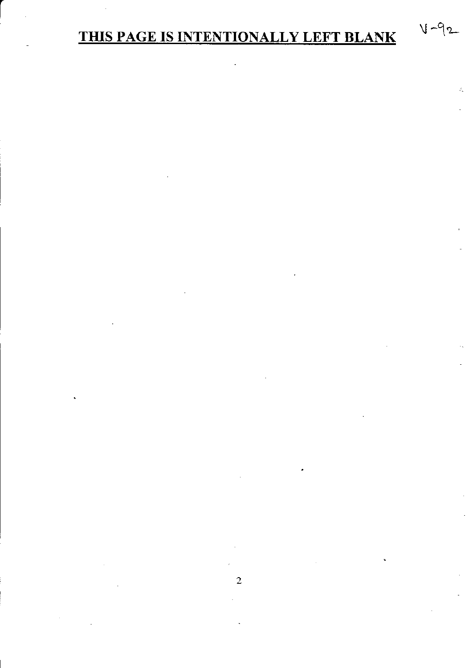# THIS PAGE IS INTENTIONALLY LEFT BLANK

 $V - 92$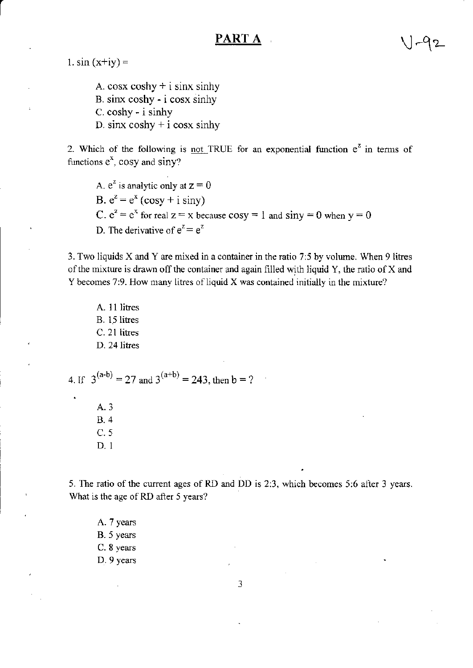### PART 4

1.  $sin(x+iy) =$ 

A. cosx coshy  $+$  i sinx sinhy B. sinx coshy - i cosx sinhy  $C. \cosh y - i \sinh y$ D. sinx  $coshy + i cosx sinhy$ 

2. Which of the following is not TRUE for an exponential function  $e^z$  in terms of functions  $e^x$ , cosy and siny?

A.  $e^z$  is analytic only at  $z = 0$ B.  $e^z = e^x$  (cosy + i siny) C.  $e^z = e^x$  for real  $z = x$  because  $cos y = 1$  and  $sin y = 0$  when  $y = 0$ D. The derivative of  $e^z = e^z$ 

3. Two liquids X and Y are mixed in a container in the ratio 7:5 by volume. When 9 litres of the mixture is drawn off the container and again filled with liquid Y, the ratio of X and Y becomes 7:9. How many litres of liquid X was contained initially in the mixture?

A. 11 litres B. 15 litres C. 21 litres D. 24 litres

4. If  $3^{(a-b)} = 27$  and  $3^{(a+b)} = 243$ , then b = ?

A. 3 **B.4**  $C.5$  $D.1$ 

5. The ratio of the current ages of RD and DD is 2:3, which becomes 5:6 after 3 years. What is the age of RD after 5 years?

A. 7 years B. 5 years C. 8 years D. 9 years

3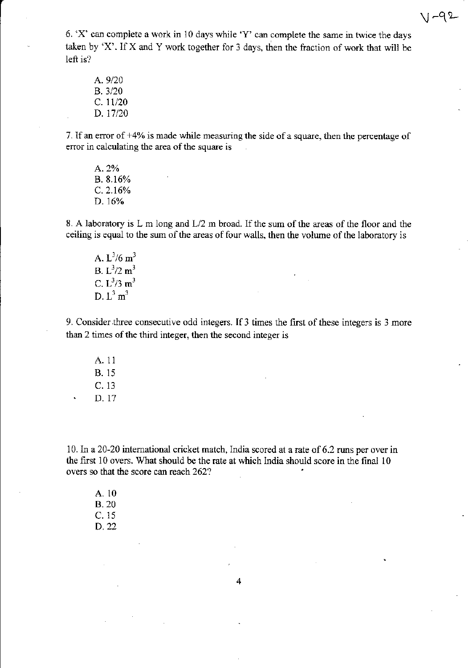$1 - 92$ 

6. 'X' can complete a work in 10 days while 'Y' can complete the sarne in twice the days taken by 'X'. If X and Y work together for 3 days, then the fraction of work that will be left is?

A.9/20 B. 3/20  $C. 11/20$ D. 17/20

7. If an error of  $+4\%$  is made while measuring the side of a square, then the percentage of error in calculating the area of the square is

A.2Vo B. 8.16% c.2.16% D.16%

8. A laboratory is L m long and L/2 m broad. If the sum of the areas of the floor and the ceiling is equal to the sum of the areas of four walls, then the volume of the laboratory is

A.  $L^3/6$  m<sup>3</sup> B.  $L^3/2$  m<sup>3</sup> C.  $L^3/3$  m<sup>3</sup> D.  $L^3$  m<sup>3</sup>

9. Consider three consecutive odd integers. If 3 times the first of these integers is 3 more than 2 times of the third integer, then the second integer is

A. 1l B. 15 c. <sup>13</sup> D.17

10. In a 20-20 international cricket match, India scored at a rate of 6.2 runs per over in the first  $10$  overs. What should be the rate at which India should score in the final  $10$ overs so that the score can reach 262?

A. 10 B.20 c. <sup>15</sup> D.22

4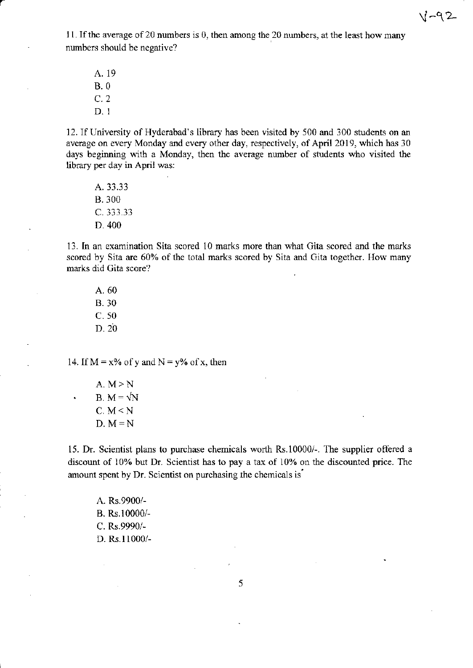11. If the average of 20 numbers is 0, then among the 20 numbers, at the least how many numbers should be negative?

A. 19 8.0 c.2 D. I

12. If University of Hyderabad's iibrary has been visited by 500 and 300 students on an aveage on every Monday and every other day, respectively, of April 2019, which has 30 days beginning with a Monday, then the average number of students who visited the library per day in April was:

A.33.33 B.300 C. 333.33 D.400

13. In an examination Sita scored 10 marks more than what Gita scored and the marks scored by Sita are 60% of the total marks scored by Sita and Gita together. How many marks did Gita score?

A. 60 B.30 c. s0 D. 20

14. If  $M = x\%$  of y and  $N = y\%$  of x, then

A.  $M \geq N$ B.  $M = \sqrt{N}$  $C. M < N$  $D. M = N$ 

 $\ddot{\phantom{1}}$ 

15. Dr. Scientist plans to purchase chemicals worth Rs.10000/-. The supplier offered a discount of 10% but Dr. Scientist has to pay a tax of 10% on the discounted price. The amount spent by Dr. Scientist on purchasing the chemicals is

A. Rs.9900/- B. Rs.10000/- C. Rs.9990/-D. Rs.11000/-

5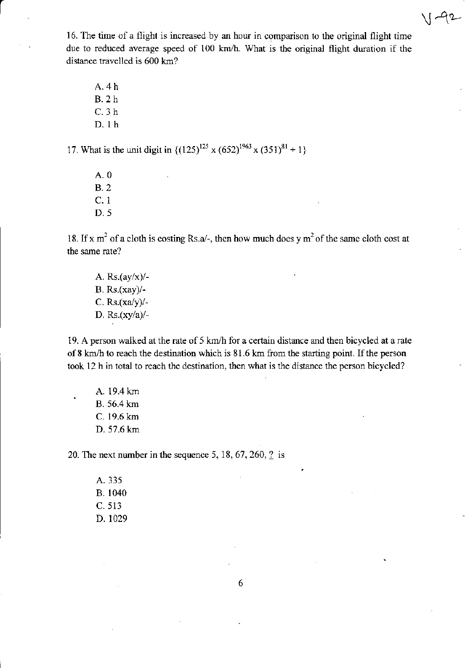$\sqrt{1-12}$ 

16. The time of a flight is increased by an hour in comparison to the original flight time due to reduced average speed of  $100 \text{ km/h}$ . What is the original flight duration if the distance travelled is 600 km?

A.4h B.2 h c.3h D. lh

17. What is the unit digit in  $\{(125)^{125} \times (652)^{1963} \times (351)^{81} + 1\}$ 

A.0 8.2 c. I D.5

18. If x m<sup>2</sup> of a cloth is costing Rs.a/-, then how much does y m<sup>2</sup> of the same cloth cost at the same rate?

A.  $Rs.(ay/x)/-$ B. Rs.(xay)/-C. Rs. $(xa/y)$ /-D. Rs.(xyla)/-

19. A person walked at the rate of 5 km/h for a certain distance and then bicycled at a rate of 8 km/h to reach the destination which is 81.6 km from the starting point. If the person took 12 h in total to reach the destination, then what is the distance the person bicycled?

A. 19.4 km<br>B. 56.4 km C. 19.6 km D. 57.6 km

20. The next number in the sequence 5, 18, 67, 260,  $\frac{2}{3}$  is

A.335 B. 1040 c. 513 D. 1029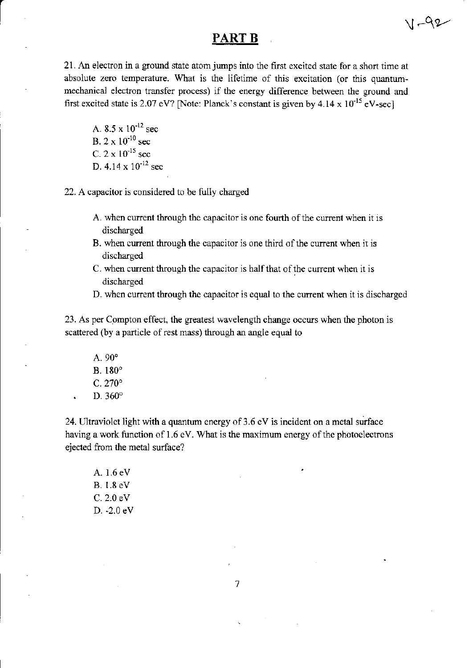### PART B

 $V -92$ 

21. An electron in a ground state atom jumps into the first excited state for a short time at absolute zero temperature. What is the lifetime of this excitation (or this quantummechanical electron transfer process) if the energy difference between the ground and first excited state is 2.07 eV? [Note: Planck's constant is given by  $4.14 \times 10^{-15}$  eV-sec]

A.  $8.5 \times 10^{-12}$  sec B.  $2 \times 10^{-10}$  sec C.  $2 \times 10^{-15}$  sec D.  $4.14 \times 10^{-12}$  sec

22. A capacitor is considered to be fully charged

- A. when current through the capacitor is one fourth of the current when it is discharged
- B. when current through the capacitor is one third of the current when it is discharged
- C. when current through the capacitor is half that of the current when it is discharged
- D. when current through the capacitor is equal to the cunent when it is discharged

23. As per Compton effect, the greatest wavelength change occurs when the photon is scattered (by a particle of rest mass) through an angle equal to

A.  $90^\circ$ B. 180'  $C.270°$ D. 360°

24. Ultraviolet light with a quantum energy of  $3.6$  eV is incident on a metal surface having a work function of  $1.6$  eV. What is the maximum energy of the photoelectrons ejected from the metal surface?

A. 1.6 eV B. 1.8 eV C. 2.0 eV D. -2.0 eV

 $\overline{7}$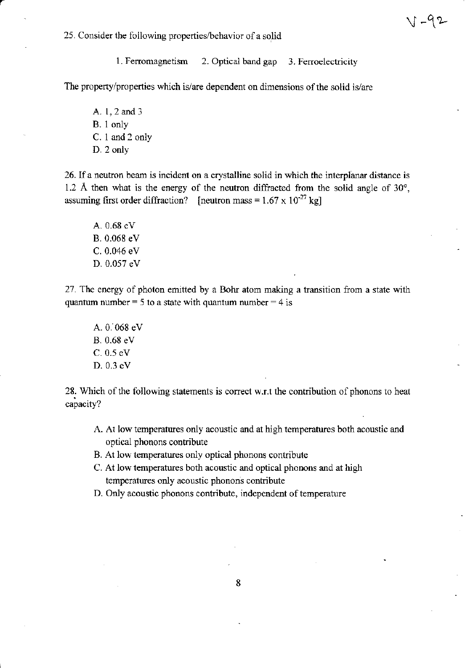$V - 92$ 

25. Consider the following properties/behavior of a solid

1. Ferromagnetism 2. Optical band gap 3. Ferroelectricity

The property/properties which is/are dependent on dimensions of the solid is/are

A. 1, 2 and 3 B. 1 only C. 1 and 2 only D. 2 only

26. If a neutron beam is incident on a crystalline solid in which the interplanar distance is 1.2 Å then what is the energy of the neutron diffracted from the solid angle of  $30^{\circ}$ , assuming first order diffraction? [neutron mass =  $1.67 \times 10^{-27}$  kg]

A. 0.68 eV B. 0.068 eV C. 0.046 eV D. 0.057 eV

27. The energy of photon emitted by a Bohr atom making a transition from a state with quantum number = 5 to a state with quantum number = 4 is

A. 0. 068 eV B. 0.68 eV  $C. 0.5 eV$ D. 0.3 eV

28. Which of the following statements is correct w.r.t the contribution of phonons to heat capacity?

- A. At low temperatures only acoustic and at high temperatures both acoustic and optical phonons contribute
- B. At low temperatures only optical phonons contribute
- C. At low temperatures both acoustic and optical phonons and at high temperatures only acoustic phonons contribute
- D. Only acoustic phonons contribute, independent of temperature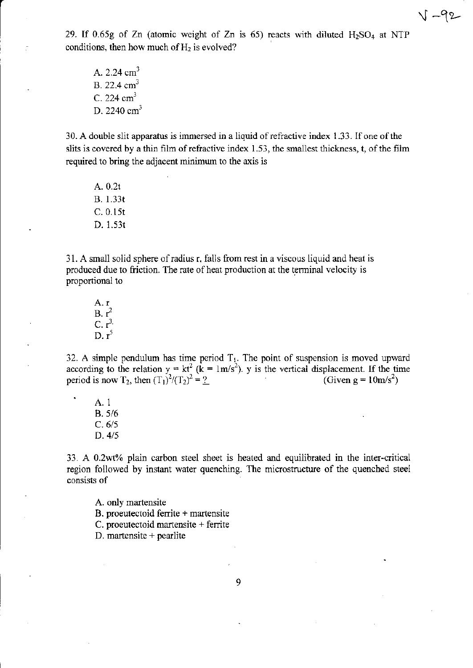29. If 0.65g of Zn (atomic weight of Zn is 65) reacts with diluted  $H_2SO_4$  at NTP

 ${\cal V} -92$ 

A.  $2.24 \text{ cm}^3$ B. 22.4 cm<sup>3</sup>  $C.224 cm<sup>3</sup>$ D. 2240  $cm<sup>3</sup>$ 

conditions, then how much of  $H_2$  is evolved?

30. A double slit apparatus is immersed in a liquid of refractive index 1.33. If one of the slits is covered by a thin film of refractive index  $1.53$ , the smallest thickness, t, of the film required to bring the adjacent minimum to the axis is

A. 0.2t B. 1.33t c.0.l5t D. 1.531

31. A small solid sphere of radius r, falls from rest in a viscous liquid and heat is produced due to friction. The rate of heat production at the terminal velocity is proportional to

A.  $r$ <br>B.  $r^2$  $C. r^3$ D.  $r^5$ 

32. A simple pendulum has time period  $T_1$ . The point of suspension is moved upward according to the relation  $y = kt^2$  ( $k = 1m/s^2$ ). y is the vertical displacement. If the time period is now T<sub>2</sub>, then  $(T_1)^2/(T_2)^2 = ?$  (Given g = 10m/s<sup>2</sup>)

A. 1 B.5/6  $C. 6/5$ D.4/5

33. A 0.2wt% plain carbon steel sheet is heated and equilibrated in the inter-critical region followed by instant water quenching. The microstructure of the quenched steel consists of

A. only martensite

B. proeutectoid ferrite + martensite

C. proeutectoid martensite  $+$  ferrite

D. martensite  $+$  pearlite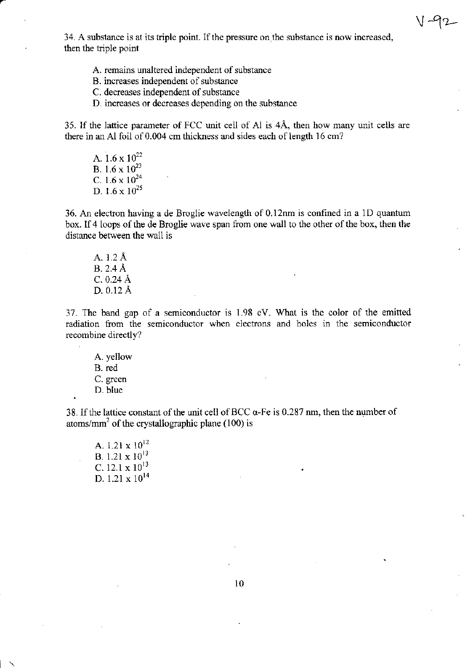34. A substance is at its triple point. If the pressure on the substance is now increased, then the triple point

 $\vee$ 

- A. remains unaltered independent of substance
- B. increases independent of substance
- C. decreases independent of substance
- D. increases or decreases depending on the substance

35. If the lattice parameter of FCC unit cell of Al is  $4\text{\AA}$ , then how many unit cells are there in an Al foil of 0.004 cm thickness and sides each of length 16 cm?

A.  $1.6 \times 10^{22}$ B. 1.6  $\times$  10<sup>23</sup> C.  $1.6 \times 10^{24}$ D.  $1.6 \times 10^{25}$ 

36. An electron having a de Broglie uavelength of 0.l2nm is confined in a lD quantum box. If 4 loops of the de Broglie wave span from one wall to the other of the box, then the distance befween the wall is

A. 1.2 A B. 2.4 A c.0.24 A D. 0.12 A

37. The band gap of a semiconductor is 1.98 ev. what is the color of the emitted radiation from the semiconductor when electrons and holes in the semiconductor recombine directly?

A. yellow B. red C. green D. blue

.

 $\overline{\phantom{0}}$ 

38. If the lattice constant of the unit cell of BCC  $\alpha$ -Fe is 0.287 nm, then the number of atoms/mm<sup>2</sup> of the crystallographic plane (100) is

A. 1.21  $\times$  10<sup>12</sup> B.  $1.21 \times 10^{13}$ C. 12.1  $\times$  10<sup>13</sup> D.  $1.21 \times 10^{14}$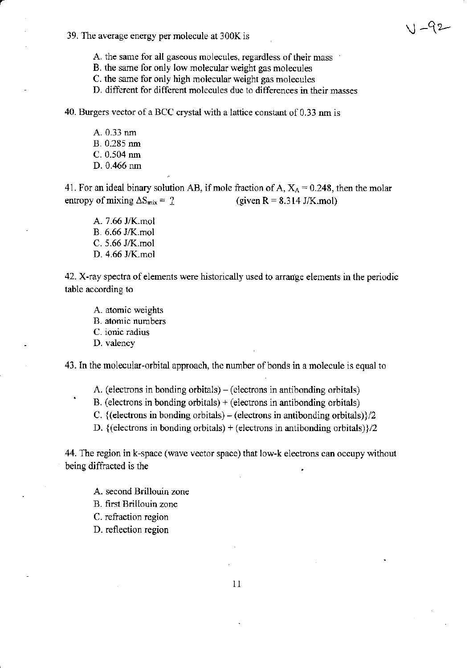39. The average energy per molecule at 300K is  $\sqrt{-92}$ 

A. the same for all gaseous molecules, regardless of their mass

B. the same for only low molecular weight gas molecules

C. the same for only high molecular weight gas molecules

D. different for different molecules due to differences in their masses

40. Burgers vector of a BCC crystal with a lattice constant of 0.33 nm is

A. 0.33 nrn B. 0.285 nm C. 0.504 nm D. 0.466 nm

41. For an ideal binary solution AB, if mole fraction of A,  $X_A = 0.248$ , then the molar entropy of mixing  $\Delta S_{mix} = ?$  (given R = 8.314 J/K.mol)

A. 7.66 J/K.mol B. 6.66 J/K.mol  $C. 5.66$  J/K.mol D. 4.66 J/K.mol

42. X-ray spectra of elements were historically used to arrange elements in the periodic table according to

A. atomic weights B. atomic numbers C. ionic radius D. valency

43. In the molecular-orbital approach, the number of bonds in a molecule is equal to

- A. (electrons in bonding orbitals) (electrons in antibonding orbitals)  $B$ . (electrons in bonding orbitals) + (electrons in antibonding orbitals)
- C.  $\{$ (electrons in bonding orbitals) (electrons in antibonding orbitals) $\}/2$

D. {(electrons in bonding orbitals) + (electrons in antibonding orbitals) $\frac{1}{2}$ 

44. The region in k-space (wave vector space) that low-k electons can occupy without being diffracted is the

A. second Brillouin zone

B. first Brillouin zone

C. reftaction region

D. reflection region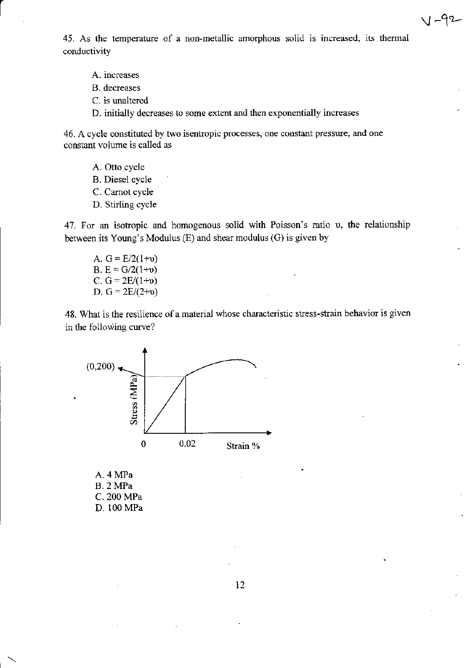45. As the temperature of a non-metallic amorphous solid is increased, its thermal conductivity

-92

- A. increases
- B. decreases
- C. is unaltered
- D. initially decreases to some extent and then exponentially increases

46. A cycle constituted by two isentropic processes, one constant pressure, and one constant volume is called as

- A. Otto cycle
- **B.** Diesel cycle
- C. Carnot cycle
- D. Stirling cycle

47. For an isotropic and homogenous solid with Poisson's ratio v, the relationship between its Young's Modulus (E) and shear modulus (G) is given by

A.  $G = E/2(1+v)$ B. E =  $G/2(1+v)$ C.  $G = 2E/(1+v)$ D.  $G = 2E/(2+v)$ 

48. What is the resilience of a material whose characteristic stress-strain behavior is given in the following curve?



A. 4 MPa **B.** 2 MPa C. 200 MPa D. 100 MPa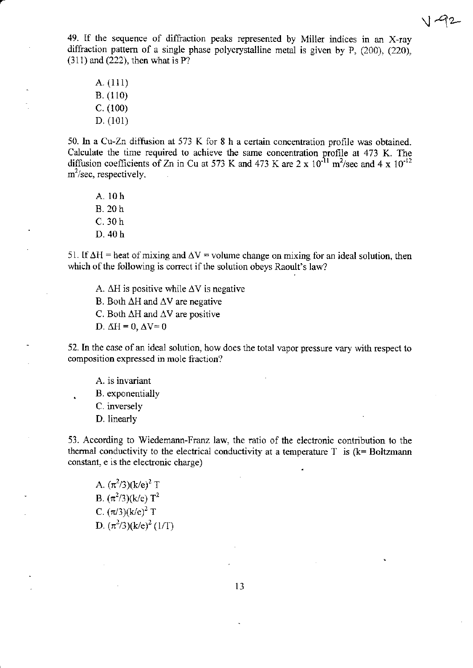

49. If the sequence of diffraction peaks represented by Miller indices in an X-ray diffraction pattem of a single phase polycrystalline metal is given by P, (200), (220), (311) and (222), then what is P?

A. (111) B. (110) c. (100) D. (101)

50. In a Cu-Zn diffusion at 573 K for 8 h a certain concentration profile was obtained. Calculate the time required to achieve the same concentration profile at 473 K. The diffusion coefficients of Zn in Cu at 573 K and 473 K are  $2 \times 10^{-11}$  m<sup>2</sup>/sec and  $4 \times 10^{-12}$  $m^2$ /sec, respectively.

A. l0h 8.20h c.30 h D.40 h

51. If  $\Delta H$  = heat of mixing and  $\Delta V$  = volume change on mixing for an ideal solution, then which of the following is correct if the solution obeys Raoult's law?

- A.  $\Delta H$  is positive while  $\Delta V$  is negative
- B. Both  $\Delta H$  and  $\Delta V$  are negative
- C. Both  $\Delta H$  and  $\Delta V$  are positive
- D.  $\Delta H = 0$ ,  $\Delta V = 0$

52. In the case of an ideal solution, how does the total vapor pressure vary with respect to composition expressed in mole fraction?

- A. is invariant . B. exponentially
- C. inversely
- D. linearly

53. According to Wiedemann-Franz law, the ratio of the electronic contribution to the thermal conductivity to the electrical conductivity at a temperature  $T$  is ( $k=$  Boltzmann constant, e is the electonic charge)

A.  $(\pi^2/3)(k/e)^2$  T B.  $(\pi^2/3)(k/e) T^2$ C.  $(\pi/3)(k/e)^2$  T D.  $(\pi^2/3)(k/e)^2$  (1/T)

1J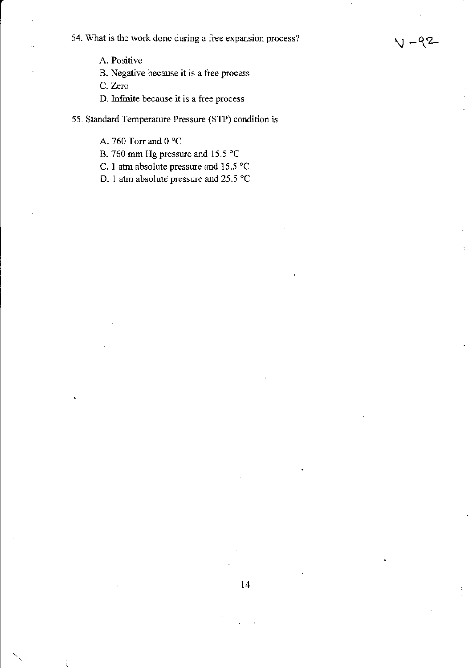54. What is the work done during a free expansion process?

A. Positive

B. Negative because it is a free process

C. Zero

D. Infinite because it is a free process

55. Standard Temperature Pressure (STP) condition is

A. 760 Torr and 0  $^{\circ} \mathrm C$ 

B. 760 mm Hg pressure and 15.5  $^{\circ}$ C

C. 1 atm absolute pressure and 15.5  $^{\circ}$ C

D. I atm absolute pressure and 25.5 "C

t4